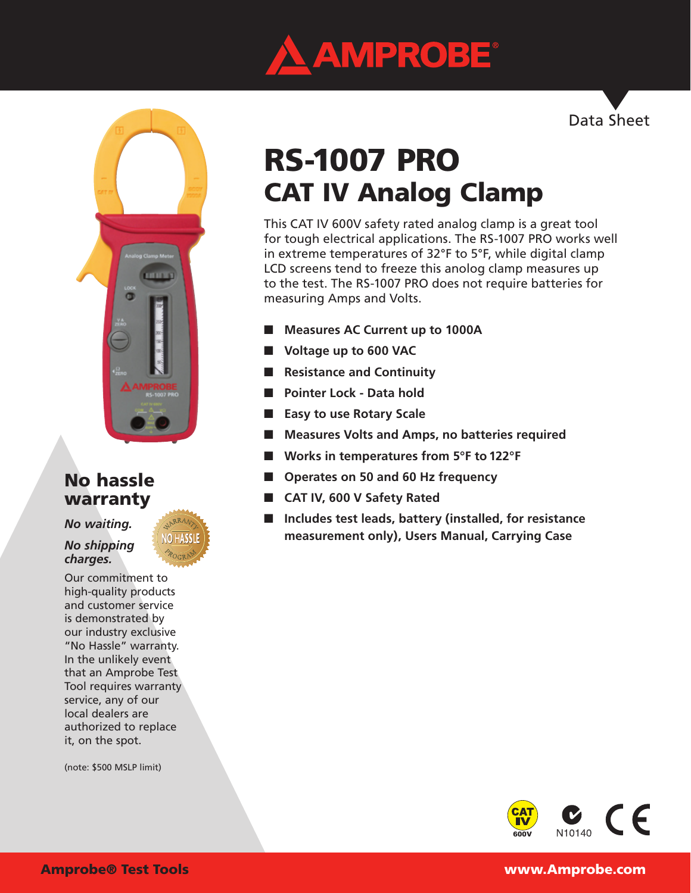

Data Sheet



## No hassle warranty

*No waiting.* 

*No shipping charges.*

Our commitment to high-quality products and customer service is demonstrated by our industry exclusive "No Hassle" warranty. In the unlikely event that an Amprobe Test Tool requires warranty service, any of our local dealers are authorized to replace it, on the spot.

(note: \$500 MSLP limit)

# RS-1007 PRO CAT IV Analog Clamp

This CAT IV 600V safety rated analog clamp is a great tool for tough electrical applications. The RS-1007 PRO works well in extreme temperatures of 32°F to 5°F, while digital clamp LCD screens tend to freeze this anolog clamp measures up to the test. The RS-1007 PRO does not require batteries for measuring Amps and Volts.

- **Measures AC Current up to 1000A**
- **Voltage up to 600 VAC**
- **Resistance and Continuity**
- **Pointer Lock Data hold**
- **Easy to use Rotary Scale**
- Measures Volts and Amps, no batteries required
- Works in temperatures from 5°F to 122°F
- **Operates on 50 and 60 Hz frequency**
- **CAT IV, 600 V Safety Rated**
- **Includes test leads, battery (installed, for resistance measurement only), Users Manual, Carrying Case**